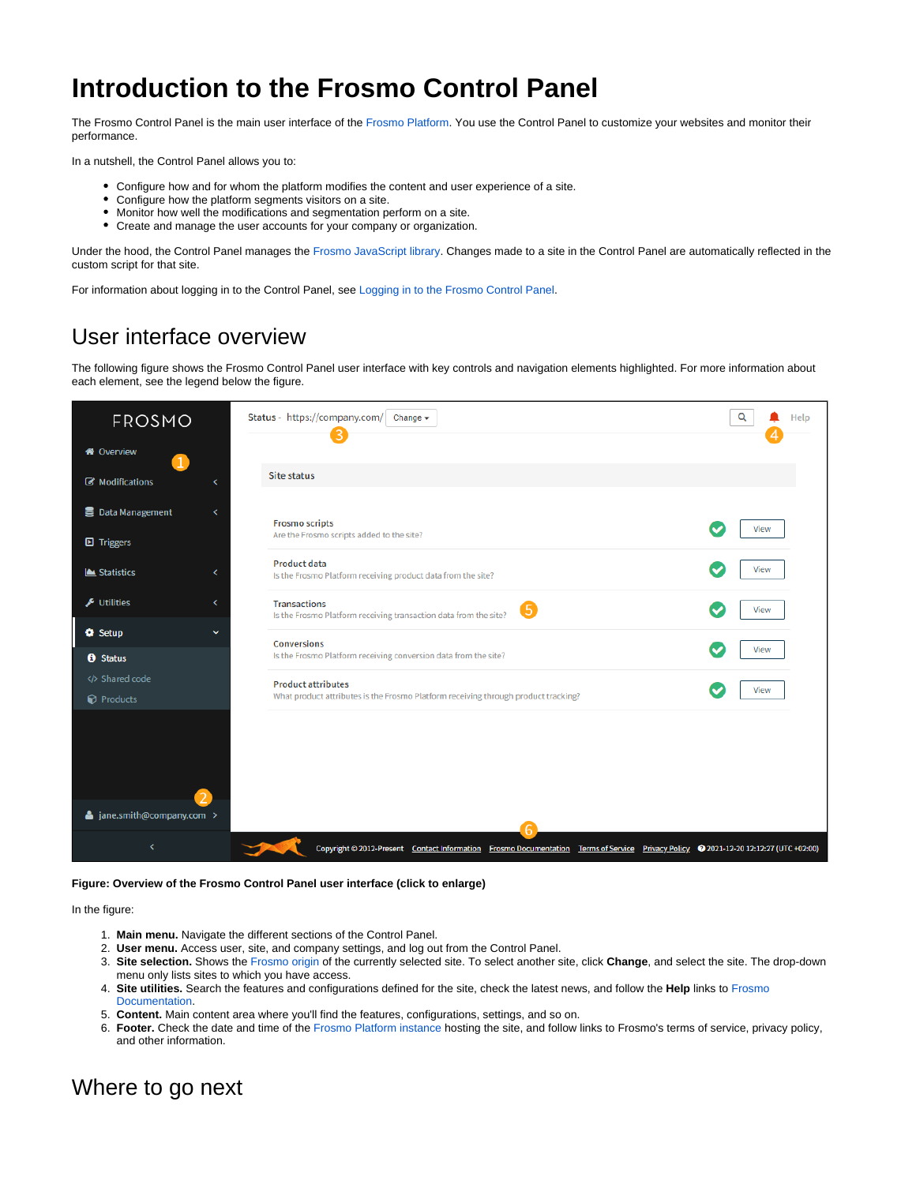## **Introduction to the Frosmo Control Panel**

The Frosmo Control Panel is the main user interface of the [Frosmo Platform](https://docs.frosmo.com/display/getstarted/Introduction+to+the+Frosmo+Platform). You use the Control Panel to customize your websites and monitor their performance.

In a nutshell, the Control Panel allows you to:

- Configure how and for whom the platform modifies the content and user experience of a site.
- Configure how the platform segments visitors on a site.
- Monitor how well the modifications and segmentation perform on a site.
- Create and manage the user accounts for your company or organization.

Under the hood, the Control Panel manages the [Frosmo JavaScript library](https://docs.frosmo.com/display/getstarted/Introduction+to+the+Frosmo+Platform#IntroductiontotheFrosmoPlatform-FrosmoJavaScriptlibrary). Changes made to a site in the Control Panel are automatically reflected in the custom script for that site.

For information about logging in to the Control Panel, see [Logging in to the Frosmo Control Panel.](https://docs.frosmo.com/display/getstarted/Logging+in+to+the+Frosmo+Control+Panel)

## User interface overview

The following figure shows the Frosmo Control Panel user interface with key controls and navigation elements highlighted. For more information about each element, see the legend below the figure.

| FROSMO                               | Status - https://company.com/ Change -                                                                                               | Q<br>Help |
|--------------------------------------|--------------------------------------------------------------------------------------------------------------------------------------|-----------|
| <b>A</b> Overview                    |                                                                                                                                      |           |
| Modifications<br>∢                   | <b>Site status</b>                                                                                                                   |           |
| <b>B</b> Data Management<br>∢        | <b>Frosmo scripts</b><br>Are the Frosmo scripts added to the site?                                                                   | View      |
| <b>D</b> Triggers<br>Statistics<br>x | <b>Product data</b><br>Is the Frosmo Platform receiving product data from the site?                                                  | View      |
| $\bigstar$ Utilities<br>≺            | <b>Transactions</b><br>Is the Frosmo Platform receiving transaction data from the site?                                              | View      |
| <b>O</b> Setup<br>$\checkmark$       | <b>Conversions</b>                                                                                                                   | View      |
| <b>O</b> Status                      | Is the Frosmo Platform receiving conversion data from the site?                                                                      |           |
| Shared code<br><b>P</b> Products     | <b>Product attributes</b><br>What product attributes is the Frosmo Platform receiving through product tracking?                      | View      |
|                                      |                                                                                                                                      |           |
| ▲ jane.smith@company.com >           |                                                                                                                                      |           |
|                                      | Copyright @ 2012-Present Contact Information Frosmo Documentation Terms of Service Privacy Policy @ 2021-12-20 12:12:27 (UTC +02:00) |           |

## **Figure: Overview of the Frosmo Control Panel user interface (click to enlarge)**

In the figure:

- 1. **Main menu.** Navigate the different sections of the Control Panel.
- 2. **User menu.** Access user, site, and company settings, and log out from the Control Panel.
- 3. **Site selection.** Shows the [Frosmo origin](https://docs.frosmo.com/display/platform/Glossary#Glossary-origin) of the currently selected site. To select another site, click **Change**, and select the site. The drop-down menu only lists sites to which you have access.
- 4. **Site utilities.** Search the features and configurations defined for the site, check the latest news, and follow the **Help** links to [Frosmo](https://docs.frosmo.com/)  [Documentation](https://docs.frosmo.com/).
- 5. **Content.** Main content area where you'll find the features, configurations, settings, and so on.
- 6. **Footer.** Check the date and time of the [Frosmo Platform instance](https://docs.frosmo.com/display/platform/Glossary#Glossary-frosmo_instance) hosting the site, and follow links to Frosmo's terms of service, privacy policy, and other information.

## Where to go next